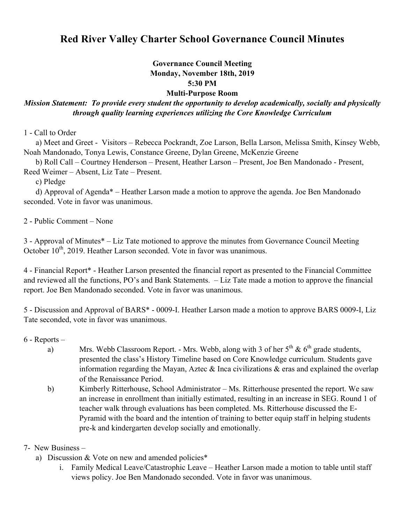## **Red River Valley Charter School Governance Council Minutes**

## **Governance Council Meeting Monday, November 18th, 2019 5:30 PM Multi-Purpose Room**

## *Mission Statement: To provide every student the opportunity to develop academically, socially and physically through quality learning experiences utilizing the Core Knowledge Curriculum*

1 - Call to Order

 a) Meet and Greet - Visitors – Rebecca Pockrandt, Zoe Larson, Bella Larson, Melissa Smith, Kinsey Webb, Noah Mandonado, Tonya Lewis, Constance Greene, Dylan Greene, McKenzie Greene

 b) Roll Call – Courtney Henderson – Present, Heather Larson – Present, Joe Ben Mandonado - Present, Reed Weimer – Absent, Liz Tate – Present.

c) Pledge

 d) Approval of Agenda\* – Heather Larson made a motion to approve the agenda. Joe Ben Mandonado seconded. Vote in favor was unanimous.

2 - Public Comment – None

3 - Approval of Minutes\* – Liz Tate motioned to approve the minutes from Governance Council Meeting October 10<sup>th</sup>, 2019. Heather Larson seconded. Vote in favor was unanimous.

4 - Financial Report\* - Heather Larson presented the financial report as presented to the Financial Committee and reviewed all the functions, PO's and Bank Statements. – Liz Tate made a motion to approve the financial report. Joe Ben Mandonado seconded. Vote in favor was unanimous.

5 - Discussion and Approval of BARS\* - 0009-I. Heather Larson made a motion to approve BARS 0009-I, Liz Tate seconded, vote in favor was unanimous.

6 - Reports –

- a) Mrs. Webb Classroom Report. Mrs. Webb, along with 3 of her  $5<sup>th</sup>$  &  $6<sup>th</sup>$  grade students, presented the class's History Timeline based on Core Knowledge curriculum. Students gave information regarding the Mayan, Aztec  $\&$  Inca civilizations  $\&$  eras and explained the overlap of the Renaissance Period.
- b) Kimberly Ritterhouse, School Administrator Ms. Ritterhouse presented the report. We saw an increase in enrollment than initially estimated, resulting in an increase in SEG. Round 1 of teacher walk through evaluations has been completed. Ms. Ritterhouse discussed the E-Pyramid with the board and the intention of training to better equip staff in helping students pre-k and kindergarten develop socially and emotionally.
- 7- New Business
	- a) Discussion & Vote on new and amended policies\*
		- i. Family Medical Leave/Catastrophic Leave Heather Larson made a motion to table until staff views policy. Joe Ben Mandonado seconded. Vote in favor was unanimous.